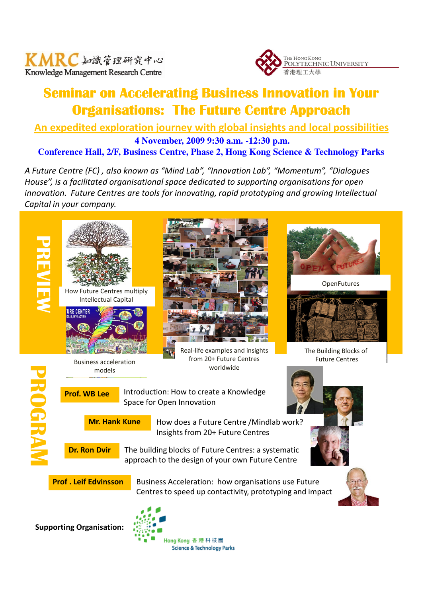



## Seminar on Accelerating Business Innovation in Your Organisations: The Future Centre Approach

An expedited exploration journey with global insights and local possibilities

**4 November, 2009 9:30 a.m. -12:30 p.m. Conference Hall, 2/F, Business Centre, Phase 2, Hong Kong Science & Technology Parks**

A Future Centre (FC) , also known as "Mind Lab", "Innovation Lab", "Momentum", "Dialogues House", is a facilitated organisational space dedicated to supporting organisations for open innovation. Future Centres are tools for innovating, rapid prototyping and growing Intellectual Capital in your company.